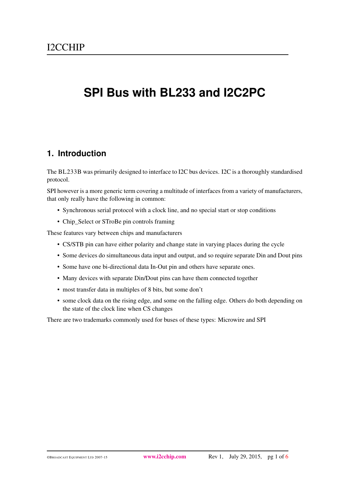# **SPI Bus with BL233 and I2C2PC**

#### <span id="page-0-0"></span>**1. Introduction**

The BL233B was primarily designed to interface to I2C bus devices. I2C is a thoroughly standardised protocol.

SPI however is a more generic term covering a multitude of interfaces from a variety of manufacturers, that only really have the following in common:

- Synchronous serial protocol with a clock line, and no special start or stop conditions
- Chip\_Select or STroBe pin controls framing

These features vary between chips and manufacturers

- CS/STB pin can have either polarity and change state in varying places during the cycle
- Some devices do simultaneous data input and output, and so require separate Din and Dout pins
- Some have one bi-directional data In-Out pin and others have separate ones.
- Many devices with separate Din/Dout pins can have them connected together
- most transfer data in multiples of 8 bits, but some don't
- some clock data on the rising edge, and some on the falling edge. Others do both depending on the state of the clock line when CS changes

There are two trademarks commonly used for buses of these types: Microwire and SPI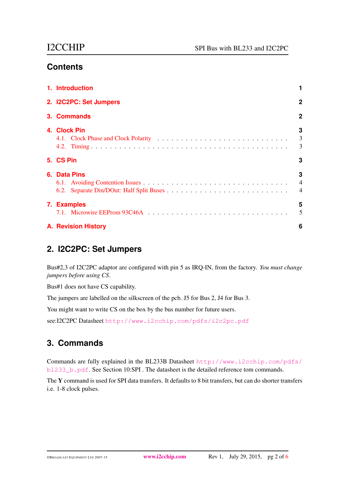## **Contents**

| 1. Introduction            |                                       |
|----------------------------|---------------------------------------|
| 2. I2C2PC: Set Jumpers     | $\mathbf{2}$                          |
| 3. Commands                | $\overline{2}$                        |
| 4. Clock Pin               | 3<br>$\overline{3}$<br>$\overline{3}$ |
| 5. CS Pin                  | 3                                     |
| 6. Data Pins               | 3<br>$\overline{4}$<br>$\overline{4}$ |
| 7. Examples                | 5<br>5                                |
| <b>A. Revision History</b> | 6                                     |

## <span id="page-1-0"></span>**2. I2C2PC: Set Jumpers**

Bus#2,3 of I2C2PC adaptor are configured with pin 5 as IRQ-IN, from the factory. *You must change jumpers before using CS*.

Bus#1 does not have CS capability.

The jumpers are labelled on the silkscreen of the pcb. J5 for Bus 2, J4 for Bus 3.

You might want to write CS on the box by the bus number for future users.

see:I2C2PC Datasheet <http://www.i2cchip.com/pdfs/i2c2pc.pdf>

## <span id="page-1-1"></span>**3. Commands**

Commands are fully explained in the BL233B Datasheet [http://www.i2cchip.com/pdfs/](http://www.i2cchip.com/pdfs/bl233_b.pdf) [bl233\\_b.pdf](http://www.i2cchip.com/pdfs/bl233_b.pdf). See Section 10:SPI . The datasheet is the detailed reference tom commands.

The Y command is used for SPI data transfers. It defaults to 8 bit transfers, but can do shorter transfers i.e. 1-8 clock pulses.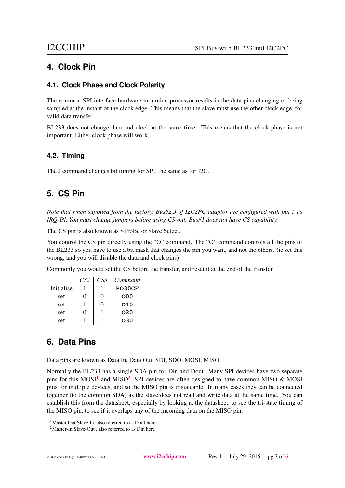#### <span id="page-2-0"></span>**4. Clock Pin**

#### <span id="page-2-1"></span>**4.1. Clock Phase and Clock Polarity**

The common SPI interface hardware in a microprocessor results in the data pins changing or being sampled at the instant of the clock edge. This means that the slave must use the other clock edge, for valid data transfer.

BL233 does not change data and clock at the same time. This means that the clock phase is not important. Either clock phase will work.

#### <span id="page-2-2"></span>**4.2. Timing**

The J command changes bit timing for SPI, the same as for I2C.

## <span id="page-2-3"></span>**5. CS Pin**

*Note that when supplied from the factory, Bus#2,3 of I2C2PC adaptor are configured with pin 5 as IRQ-IN. You must change jumpers before using CS-out. Bus#1 does not have CS capability.*

The CS pin is also known as STroBe or Slave Select.

You control the CS pin directly using the "O" command. The "O" command controls all the pins of the BL233 so you have to use a bit mask that changes the pin you want, and not the others. (ie set this wrong, and you will disable the data and clock pins)

Commonly you would set the CS before the transfer, and reset it at the end of the transfer.

|            | CS <sub>2</sub> | CS <sub>3</sub> | Command |
|------------|-----------------|-----------------|---------|
| Initialise |                 |                 | PO30CF  |
| set        |                 |                 | 000     |
| set        |                 |                 | 010     |
| set        |                 |                 | 020     |
| set        |                 |                 | 030     |

## <span id="page-2-4"></span>**6. Data Pins**

Data pins are known as Data In, Data Out, SDI, SDO, MOSI, MISO.

Normally the BL233 has a single SDA pin for Din and Dout. Many SPI devices have two separate pins for this MOSI<sup>[1](#page-2-5)</sup> and MISO<sup>[2](#page-2-6)</sup>. SPI devices are often designed to have common MISO & MOSI pins for multiple devices, and so the MISO pin is tristateable. In many cases they can be connected together (to the common SDA) as the slave does not read and write data at the same time. You can establish this from the datasheet, especially by looking at the datasheet, to see the tri-state timing of the MISO pin, to see if it overlaps any of the incoming data on the MISO pin.

<span id="page-2-5"></span><sup>&</sup>lt;sup>1</sup>Master Out Slave In, also referred to as Dout here

<span id="page-2-6"></span><sup>2</sup>Master-In Slave-Out , also referred to as Din here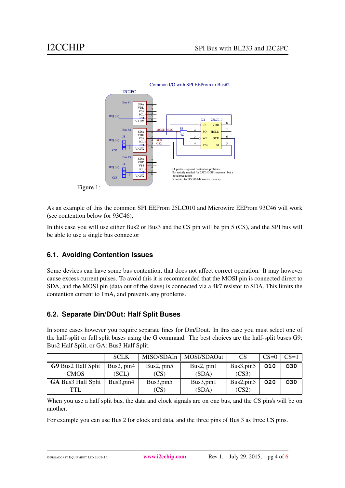

As an example of this the common SPI EEProm 25LC010 and Microwire EEProm 93C46 will work (see contention below for 93C46),

In this case you will use either Bus2 or Bus3 and the CS pin will be pin 5 (CS), and the SPI bus will be able to use a single bus connector

#### <span id="page-3-0"></span>**6.1. Avoiding Contention Issues**

Some devices can have some bus contention, that does not affect correct operation. It may however cause excess current pulses. To avoid this it is recommended that the MOSI pin is connected direct to SDA, and the MOSI pin (data out of the slave) is connected via a 4k7 resistor to SDA. This limits the contention current to 1mA, and prevents any problems.

#### <span id="page-3-1"></span>**6.2. Separate Din/DOut: Half Split Buses**

In some cases however you require separate lines for Din/Dout. In this case you must select one of the half-split or full split buses using the G command. The best choices are the half-split buses G9: Bus2 Half Split, or GA: Bus3 Half Split.

|                           | <b>SCLK</b>  | MISO/SDAIn   | MOSI/SDAOut  | <b>CS</b>  | $CS=0$ | $CS=1$ |
|---------------------------|--------------|--------------|--------------|------------|--------|--------|
| G9 Bus2 Half Split        | Bus2, $pin4$ | Bus2, $pin5$ | Bus2, $pin1$ | Bus3, pin5 | 010    | 030    |
| <b>CMOS</b>               | (SCL)        | (CS)         | (SDA)        | (CS3)      |        |        |
| <b>GA Bus3 Half Split</b> | Bus3, pin4   | Bus3, pin5   | Bus3, pin1   | Bus2, pin5 | 020    | 030    |
| TTL.                      |              | (CS)         | (SDA)        | (CS2)      |        |        |

When you use a half split bus, the data and clock signals are on one bus, and the CS pin/s will be on another.

For example you can use Bus 2 for clock and data, and the three pins of Bus 3 as three CS pins.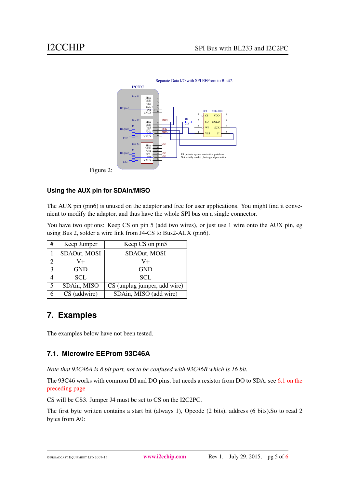

#### **Using the AUX pin for SDAIn/MISO**

The AUX pin (pin6) is unused on the adaptor and free for user applications. You might find it convenient to modify the adaptor, and thus have the whole SPI bus on a single connector.

You have two options: Keep CS on pin 5 (add two wires), or just use 1 wire onto the AUX pin, eg using Bus 2, solder a wire link from J4-CS to Bus2-AUX (pin6).

| #                 | Keep Jumper  | Keep CS on pin5              |
|-------------------|--------------|------------------------------|
|                   | SDAOut, MOSI | SDAOut, MOSI                 |
|                   | V+           | V+                           |
| $\mathbf{\Omega}$ | <b>GND</b>   | <b>GND</b>                   |
|                   | SCL.         | SCL.                         |
| 5                 | SDAin, MISO  | CS (unplug jumper, add wire) |
|                   | CS (addwire) | SDAin, MISO (add wire)       |

#### <span id="page-4-0"></span>**7. Examples**

The examples below have not been tested.

#### <span id="page-4-1"></span>**7.1. Microwire EEProm 93C46A**

*Note that 93C46A is 8 bit part, not to be confused with 93C46B which is 16 bit.*

The 93C46 works with common DI and DO pins, but needs a resistor from DO to SDA. see [6.1 on the](#page-3-0) [preceding page](#page-3-0)

CS will be CS3. Jumper J4 must be set to CS on the I2C2PC.

The first byte written contains a start bit (always 1), Opcode (2 bits), address (6 bits).So to read 2 bytes from A0: